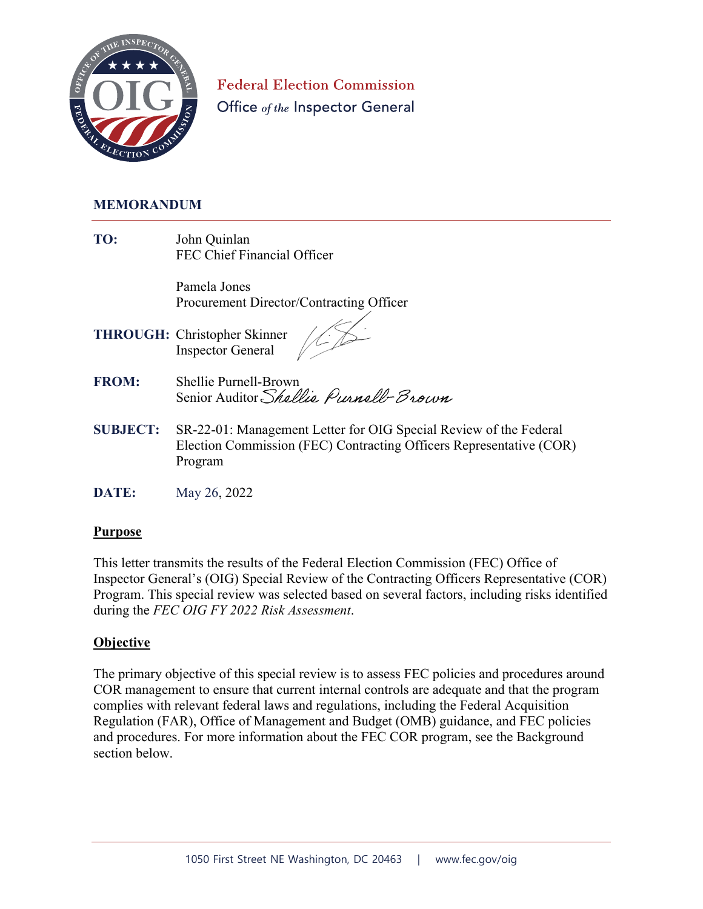

**Federal Election Commission** Office of the Inspector General

### **MEMORANDUM**

**TO:** John Quinlan FEC Chief Financial Officer

> Pamela Jones Procurement Director/Contracting Officer

- **THROUGH:** Christopher Skinner Inspector General
- **FROM:** Shellie Purnell-Brown Senior Auditor Shellie Purnell-Brown
- **SUBJECT:** SR-22-01: Management Letter for OIG Special Review of the Federal Election Commission (FEC) Contracting Officers Representative (COR) Program
- **DATE:** May 26, 2022

### **Purpose**

This letter transmits the results of the Federal Election Commission (FEC) Office of Inspector General's (OIG) Special Review of the Contracting Officers Representative (COR) Program. This special review was selected based on several factors, including risks identified during the *FEC OIG FY 2022 Risk Assessment*.

#### **Objective**

The primary objective of this special review is to assess FEC policies and procedures around COR management to ensure that current internal controls are adequate and that the program complies with relevant federal laws and regulations, including the Federal Acquisition Regulation (FAR), Office of Management and Budget (OMB) guidance, and FEC policies and procedures. For more information about the FEC COR program, see the Background section below.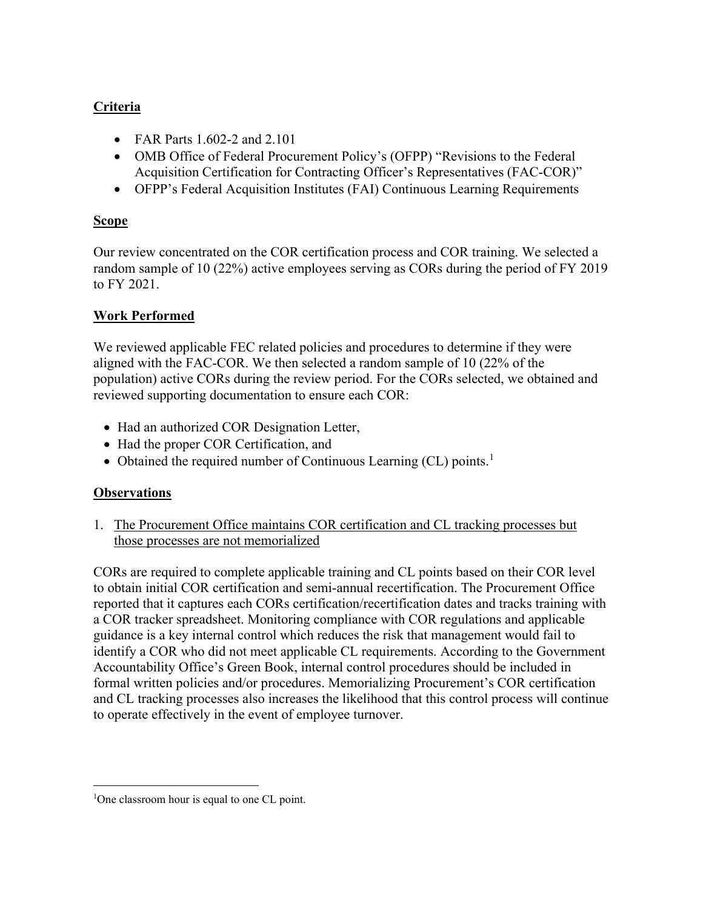## **Criteria**

- FAR Parts 1.602-2 and 2.101
- OMB Office of Federal Procurement Policy's (OFPP) "Revisions to the Federal Acquisition Certification for Contracting Officer's Representatives (FAC-COR)"
- OFPP's Federal Acquisition Institutes (FAI) Continuous Learning Requirements

## **Scope**

Our review concentrated on the COR certification process and COR training. We selected a random sample of 10 (22%) active employees serving as CORs during the period of FY 2019 to FY 2021.

## **Work Performed**

We reviewed applicable FEC related policies and procedures to determine if they were aligned with the FAC-COR. We then selected a random sample of 10 (22% of the population) active CORs during the review period. For the CORs selected, we obtained and reviewed supporting documentation to ensure each COR:

- Had an authorized COR Designation Letter,
- Had the proper COR Certification, and
- Obtained the required number of Continuous Learning (CL) points.<sup>1</sup>

# **Observations**

1. The Procurement Office maintains COR certification and CL tracking processes but those processes are not memorialized

CORs are required to complete applicable training and CL points based on their COR level to obtain initial COR certification and semi-annual recertification. The Procurement Office reported that it captures each CORs certification/recertification dates and tracks training with a COR tracker spreadsheet. Monitoring compliance with COR regulations and applicable guidance is a key internal control which reduces the risk that management would fail to identify a COR who did not meet applicable CL requirements. According to the Government Accountability Office's Green Book, internal control procedures should be included in formal written policies and/or procedures. Memorializing Procurement's COR certification and CL tracking processes also increases the likelihood that this control process will continue to operate effectively in the event of employee turnover.

<sup>&</sup>lt;sup>1</sup>One classroom hour is equal to one CL point.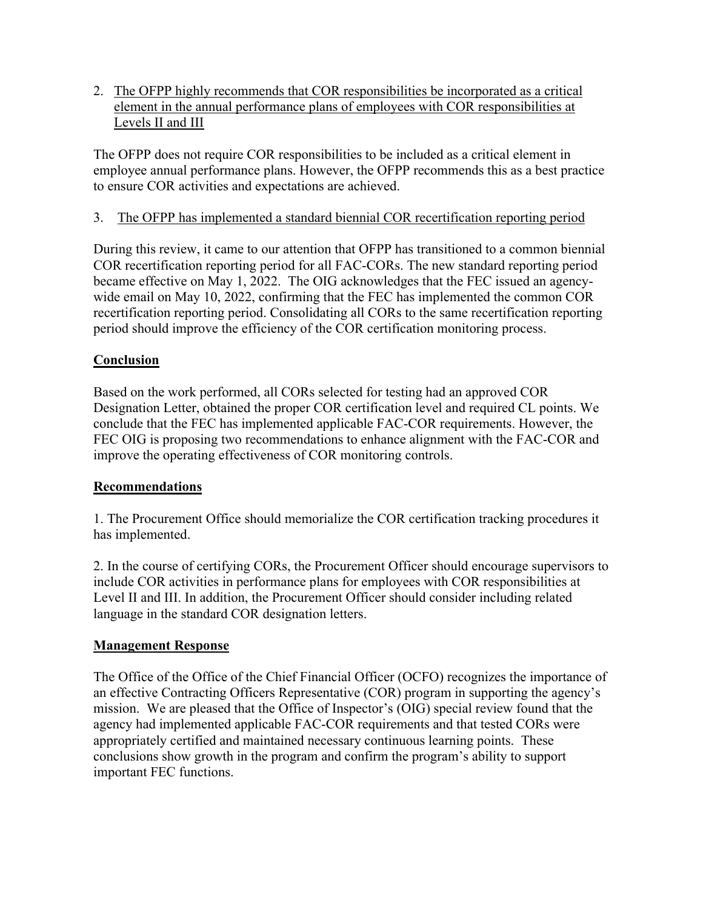2. The OFPP highly recommends that COR responsibilities be incorporated as a critical element in the annual performance plans of employees with COR responsibilities at Levels II and III

The OFPP does not require COR responsibilities to be included as a critical element in employee annual performance plans. However, the OFPP recommends this as a best practice to ensure COR activities and expectations are achieved.

### 3. The OFPP has implemented a standard biennial COR recertification reporting period

During this review, it came to our attention that OFPP has transitioned to a common biennial COR recertification reporting period for all FAC-CORs. The new standard reporting period became effective on May 1, 2022. The OIG acknowledges that the FEC issued an agencywide email on May 10, 2022, confirming that the FEC has implemented the common COR recertification reporting period. Consolidating all CORs to the same recertification reporting period should improve the efficiency of the COR certification monitoring process.

### **Conclusion**

Based on the work performed, all CORs selected for testing had an approved COR Designation Letter, obtained the proper COR certification level and required CL points. We conclude that the FEC has implemented applicable FAC-COR requirements. However, the FEC OIG is proposing two recommendations to enhance alignment with the FAC-COR and improve the operating effectiveness of COR monitoring controls.

### **Recommendations**

1. The Procurement Office should memorialize the COR certification tracking procedures it has implemented.

2. In the course of certifying CORs, the Procurement Officer should encourage supervisors to include COR activities in performance plans for employees with COR responsibilities at Level II and III. In addition, the Procurement Officer should consider including related language in the standard COR designation letters.

### **Management Response**

The Office of the Office of the Chief Financial Officer (OCFO) recognizes the importance of an effective Contracting Officers Representative (COR) program in supporting the agency's mission. We are pleased that the Office of Inspector's (OIG) special review found that the agency had implemented applicable FAC-COR requirements and that tested CORs were appropriately certified and maintained necessary continuous learning points. These conclusions show growth in the program and confirm the program's ability to support important FEC functions.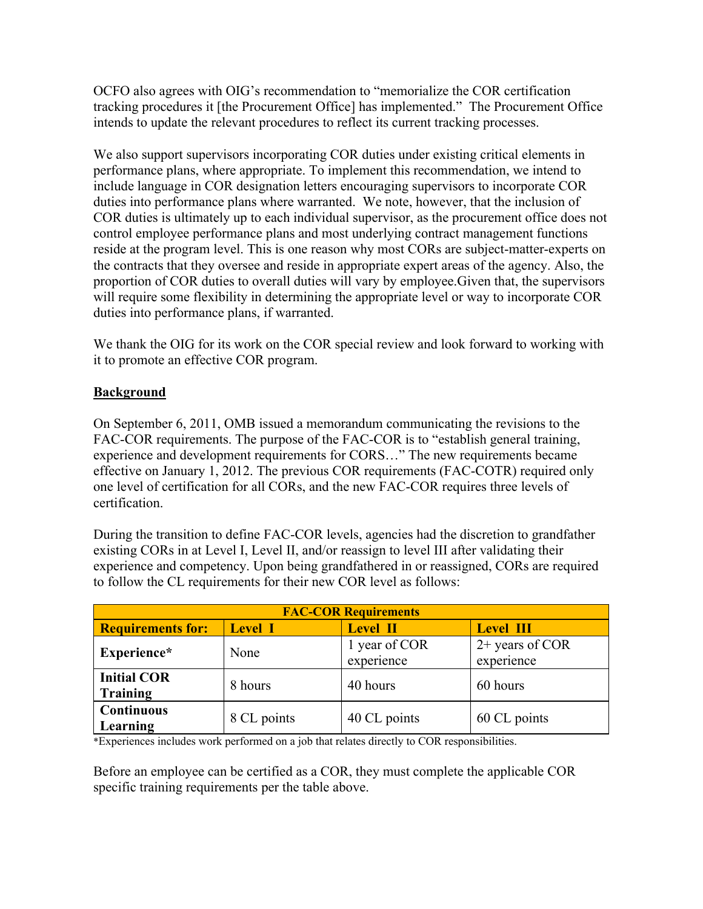OCFO also agrees with OIG's recommendation to "memorialize the COR certification tracking procedures it [the Procurement Office] has implemented." The Procurement Office intends to update the relevant procedures to reflect its current tracking processes.

We also support supervisors incorporating COR duties under existing critical elements in performance plans, where appropriate. To implement this recommendation, we intend to include language in COR designation letters encouraging supervisors to incorporate COR duties into performance plans where warranted. We note, however, that the inclusion of COR duties is ultimately up to each individual supervisor, as the procurement office does not control employee performance plans and most underlying contract management functions reside at the program level. This is one reason why most CORs are subject-matter-experts on the contracts that they oversee and reside in appropriate expert areas of the agency. Also, the proportion of COR duties to overall duties will vary by employee.Given that, the supervisors will require some flexibility in determining the appropriate level or way to incorporate COR duties into performance plans, if warranted.

We thank the OIG for its work on the COR special review and look forward to working with it to promote an effective COR program.

### **Background**

On September 6, 2011, OMB issued a memorandum communicating the revisions to the FAC-COR requirements. The purpose of the FAC-COR is to "establish general training, experience and development requirements for CORS…" The new requirements became effective on January 1, 2012. The previous COR requirements (FAC-COTR) required only one level of certification for all CORs, and the new FAC-COR requires three levels of certification.

During the transition to define FAC-COR levels, agencies had the discretion to grandfather existing CORs in at Level I, Level II, and/or reassign to level III after validating their experience and competency. Upon being grandfathered in or reassigned, CORs are required to follow the CL requirements for their new COR level as follows:

| <b>FAC-COR Requirements</b>    |                |                             |                               |
|--------------------------------|----------------|-----------------------------|-------------------------------|
| <b>Requirements for:</b>       | <b>Level I</b> | <b>Level II</b>             | <b>Level III</b>              |
| Experience*                    | None           | 1 year of COR<br>experience | 2+ years of COR<br>experience |
| <b>Initial COR</b><br>Training | 8 hours        | 40 hours                    | 60 hours                      |
| <b>Continuous</b><br>Learning  | 8 CL points    | 40 CL points                | 60 CL points                  |

\*Experiences includes work performed on a job that relates directly to COR responsibilities.

Before an employee can be certified as a COR, they must complete the applicable COR specific training requirements per the table above.